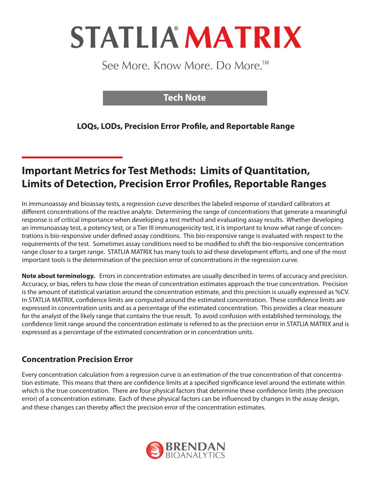# **STATLIA MATRIX**

See More. Know More. Do More.<sup>™</sup>

# **Tech Note**

**LOQs, LODs, Precision Error Profile, and Reportable Range**

# **Important Metrics for Test Methods: Limits of Quantitation, Limits of Detection, Precision Error Profiles, Reportable Ranges**

In immunoassay and bioassay tests, a regression curve describes the labeled response of standard calibrators at different concentrations of the reactive analyte. Determining the range of concentrations that generate a meaningful response is of critical importance when developing a test method and evaluating assay results. Whether developing an immunoassay test, a potency test, or a Tier III immunogenicity test, it is important to know what range of concentrations is bio-responsive under defined assay conditions. This bio-responsive range is evaluated with respect to the requirements of the test. Sometimes assay conditions need to be modified to shift the bio-responsive concentration range closer to a target range. STATLIA MATRIX has many tools to aid these development efforts, and one of the most important tools is the determination of the precision error of concentrations in the regression curve.

**Note about terminology.** Errors in concentration estimates are usually described in terms of accuracy and precision. Accuracy, or bias, refers to how close the mean of concentration estimates approach the true concentration. Precision is the amount of statistical variation around the concentration estimate, and this precision is usually expressed as %CV. In STATLIA MATRIX, confidence limits are computed around the estimated concentration. These confidence limits are expressed in concentration units and as a percentage of the estimated concentration. This provides a clear measure for the analyst of the likely range that contains the true result. To avoid confusion with established terminology, the confidence limit range around the concentration estimate is referred to as the precision error in STATLIA MATRIX and is expressed as a percentage of the estimated concentration or in concentration units.

# **Concentration Precision Error**

Every concentration calculation from a regression curve is an estimation of the true concentration of that concentration estimate. This means that there are confidence limits at a specified significance level around the estimate within which is the true concentration. There are four physical factors that determine these confidence limits (the precision error) of a concentration estimate. Each of these physical factors can be influenced by changes in the assay design, and these changes can thereby affect the precision error of the concentration estimates.

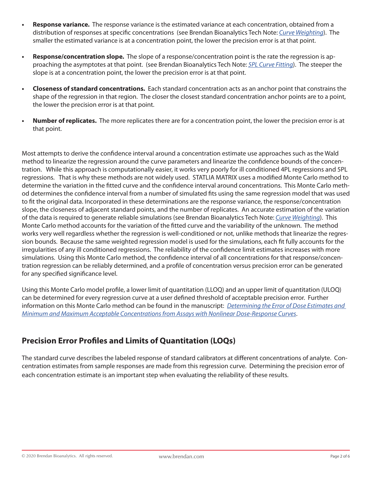- **• Response variance.** The response variance is the estimated variance at each concentration, obtained from a distribution of responses at specific concentrations (see Brendan Bioanalytics Tech Note: *Curve Weighting*). The smaller the estimated variance is at a concentration point, the lower the precision error is at that point.
- **• Response/concentration slope.** The slope of a response/concentration point is the rate the regression is approaching the asymptotes at that point. (see Brendan Bioanalytics Tech Note: *5PL Curve Fitting*). The steeper the slope is at a concentration point, the lower the precision error is at that point.
- **• Closeness of standard concentrations.** Each standard concentration acts as an anchor point that constrains the shape of the regression in that region. The closer the closest standard concentration anchor points are to a point, the lower the precision error is at that point.
- **• Number of replicates.** The more replicates there are for a concentration point, the lower the precision error is at that point.

Most attempts to derive the confidence interval around a concentration estimate use approaches such as the Wald method to linearize the regression around the curve parameters and linearize the confidence bounds of the concentration. While this approach is computationally easier, it works very poorly for ill conditioned 4PL regressions and 5PL regressions. That is why these methods are not widely used. STATLIA MATRIX uses a modified Monte Carlo method to determine the variation in the fitted curve and the confidence interval around concentrations. This Monte Carlo method determines the confidence interval from a number of simulated fits using the same regression model that was used to fit the original data. Incorporated in these determinations are the response variance, the response/concentration slope, the closeness of adjacent standard points, and the number of replicates. An accurate estimation of the variation of the data is required to generate reliable simulations (see Brendan Bioanalytics Tech Note: *Curve Weighting*). This Monte Carlo method accounts for the variation of the fitted curve and the variability of the unknown. The method works very well regardless whether the regression is well-conditioned or not, unlike methods that linearize the regression bounds. Because the same weighted regression model is used for the simulations, each fit fully accounts for the irregularities of any ill conditioned regressions. The reliability of the confidence limit estimates increases with more simulations. Using this Monte Carlo method, the confidence interval of all concentrations for that response/concentration regression can be reliably determined, and a profile of concentration versus precision error can be generated for any specified significance level.

Using this Monte Carlo model profile, a lower limit of quantitation (LLOQ) and an upper limit of quantitation (ULOQ) can be determined for every regression curve at a user defined threshold of acceptable precision error. Further information on this Monte Carlo method can be found in the manuscript: *Determining the Error of Dose Estimates and Minimum and Maximum Acceptable Concentrations from Assays with Nonlinear Dose-Response Curves*.

# **Precision Error Profiles and Limits of Quantitation (LOQs)**

The standard curve describes the labeled response of standard calibrators at different concentrations of analyte. Concentration estimates from sample responses are made from this regression curve. Determining the precision error of each concentration estimate is an important step when evaluating the reliability of these results.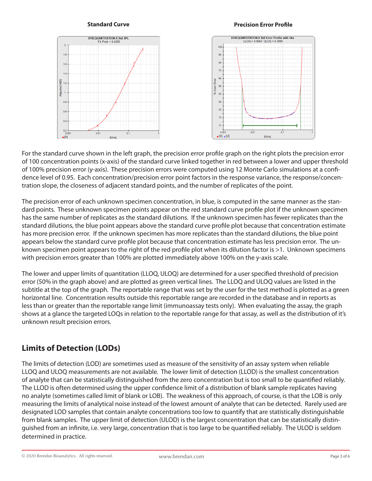## **Standard Curve Precision Error Profile**



For the standard curve shown in the left graph, the precision error profile graph on the right plots the precision error of 100 concentration points (x-axis) of the standard curve linked together in red between a lower and upper threshold of 100% precision error (y-axis). These precision errors were computed using 12 Monte Carlo simulations at a confidence level of 0.95. Each concentration/precision error point factors in the response variance, the response/concentration slope, the closeness of adjacent standard points, and the number of replicates of the point.

The precision error of each unknown specimen concentration, in blue, is computed in the same manner as the standard points. These unknown specimen points appear on the red standard curve profile plot if the unknown specimen has the same number of replicates as the standard dilutions. If the unknown specimen has fewer replicates than the standard dilutions, the blue point appears above the standard curve profile plot because that concentration estimate has more precision error. If the unknown specimen has more replicates than the standard dilutions, the blue point appears below the standard curve profile plot because that concentration estimate has less precision error. The unknown specimen point appears to the right of the red profile plot when its dilution factor is >1. Unknown specimens with precision errors greater than 100% are plotted immediately above 100% on the y-axis scale.

The lower and upper limits of quantitation (LLOQ, ULOQ) are determined for a user specified threshold of precision error (50% in the graph above) and are plotted as green vertical lines. The LLOQ and ULOQ values are listed in the subtitle at the top of the graph. The reportable range that was set by the user for the test method is plotted as a green horizontal line. Concentration results outside this reportable range are recorded in the database and in reports as less than or greater than the reportable range limit (immunoassay tests only). When evaluating the assay, the graph shows at a glance the targeted LOQs in relation to the reportable range for that assay, as well as the distribution of it's unknown result precision errors.

# **Limits of Detection (LODs)**

The limits of detection (LOD) are sometimes used as measure of the sensitivity of an assay system when reliable LLOQ and ULOQ measurements are not available. The lower limit of detection (LLOD) is the smallest concentration of analyte that can be statistically distinguished from the zero concentration but is too small to be quantified reliably. The LLOD is often determined using the upper confidence limit of a distribution of blank sample replicates having no analyte (sometimes called limit of blank or LOB). The weakness of this approach, of course, is that the LOB is only measuring the limits of analytical noise instead of the lowest amount of analyte that can be detected. Rarely used are designated LOD samples that contain analyte concentrations too low to quantify that are statistically distinguishable from blank samples. The upper limit of detection (ULOD) is the largest concentration that can be statistically distinguished from an infinite, i.e. very large, concentration that is too large to be quantified reliably. The ULOD is seldom determined in practice.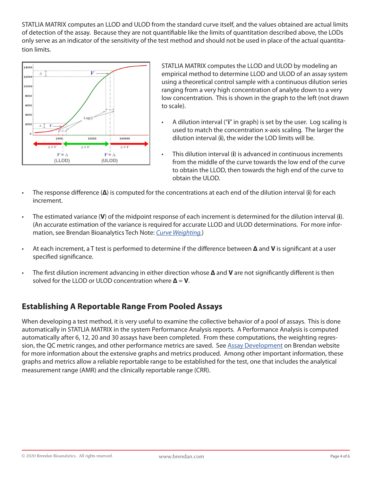STATLIA MATRIX computes an LLOD and ULOD from the standard curve itself, and the values obtained are actual limits of detection of the assay. Because they are not quantifiable like the limits of quantitation described above, the LODs only serve as an indicator of the sensitivity of the test method and should not be used in place of the actual quantitation limits.



STATLIA MATRIX computes the LLOD and ULOD by modeling an empirical method to determine LLOD and ULOD of an assay system using a theoretical control sample with a continuous dilution series ranging from a very high concentration of analyte down to a very low concentration. This is shown in the graph to the left (not drawn to scale).

- A dilution interval ("**i**" in graph) is set by the user. Log scaling is used to match the concentration x-axis scaling. The larger the dilution interval (**i**), the wider the LOD limits will be.
- This dilution interval (**i**) is advanced in continuous increments from the middle of the curve towards the low end of the curve to obtain the LLOD, then towards the high end of the curve to obtain the ULOD.
- The response difference (**Δ**) is computed for the concentrations at each end of the dilution interval (**i**) for each increment.
- The estimated variance (**V**) of the midpoint response of each increment is determined for the dilution interval (**i**). (An accurate estimation of the variance is required for accurate LLOD and ULOD determinations. For more information, see Brendan Bioanalytics Tech Note: *Curve Weighting.*)
- At each increment, a T test is performed to determine if the difference between **Δ** and **V** is significant at a user specified significance.
- The first dilution increment advancing in either direction whose **Δ** and **V** are not significantly different is then solved for the LLOD or ULOD concentration where **Δ** = **V**.

# **Establishing A Reportable Range From Pooled Assays**

When developing a test method, it is very useful to examine the collective behavior of a pool of assays. This is done automatically in STATLIA MATRIX in the system Performance Analysis reports. A Performance Analysis is computed automatically after 6, 12, 20 and 30 assays have been completed. From these computations, the weighting regression, the QC metric ranges, and other performance metrics are saved. See Assay Development on Brendan website for more information about the extensive graphs and metrics produced. Among other important information, these graphs and metrics allow a reliable reportable range to be established for the test, one that includes the analytical measurement range (AMR) and the clinically reportable range (CRR).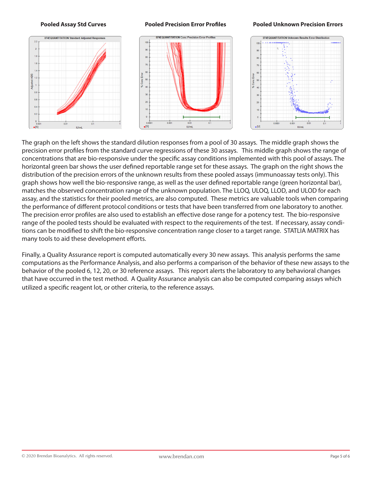



The graph on the left shows the standard dilution responses from a pool of 30 assays. The middle graph shows the precision error profiles from the standard curve regressions of these 30 assays. This middle graph shows the range of concentrations that are bio-responsive under the specific assay conditions implemented with this pool of assays. The horizontal green bar shows the user defined reportable range set for these assays. The graph on the right shows the distribution of the precision errors of the unknown results from these pooled assays (immunoassay tests only). This graph shows how well the bio-responsive range, as well as the user defined reportable range (green horizontal bar), matches the observed concentration range of the unknown population. The LLOQ, ULOQ, LLOD, and ULOD for each assay, and the statistics for their pooled metrics, are also computed. These metrics are valuable tools when comparing the performance of different protocol conditions or tests that have been transferred from one laboratory to another. The precision error profiles are also used to establish an effective dose range for a potency test. The bio-responsive range of the pooled tests should be evaluated with respect to the requirements of the test. If necessary, assay conditions can be modified to shift the bio-responsive concentration range closer to a target range. STATLIA MATRIX has many tools to aid these development efforts.

Finally, a Quality Assurance report is computed automatically every 30 new assays. This analysis performs the same computations as the Performance Analysis, and also performs a comparison of the behavior of these new assays to the behavior of the pooled 6, 12, 20, or 30 reference assays. This report alerts the laboratory to any behavioral changes that have occurred in the test method. A Quality Assurance analysis can also be computed comparing assays which utilized a specific reagent lot, or other criteria, to the reference assays.